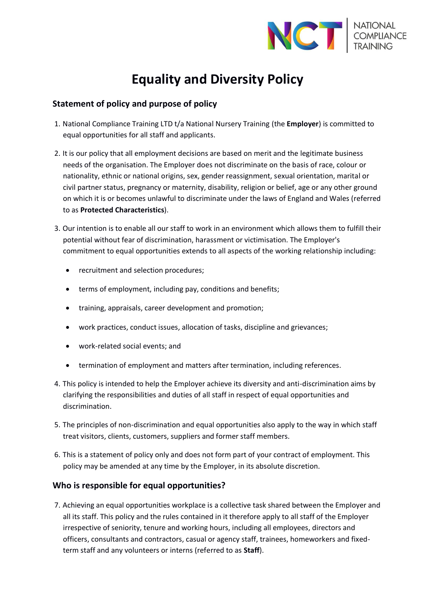

# **Equality and Diversity Policy**

# **Statement of policy and purpose of policy**

- 1. National Compliance Training LTD t/a National Nursery Training (the **Employer**) is committed to equal opportunities for all staff and applicants.
- 2. It is our policy that all employment decisions are based on merit and the legitimate business needs of the organisation. The Employer does not discriminate on the basis of race, colour or nationality, ethnic or national origins, sex, gender reassignment, sexual orientation, marital or civil partner status, pregnancy or maternity, disability, religion or belief, age or any other ground on which it is or becomes unlawful to discriminate under the laws of England and Wales (referred to as **Protected Characteristics**).
- 3. Our intention is to enable all our staff to work in an environment which allows them to fulfill their potential without fear of discrimination, harassment or victimisation. The Employer's commitment to equal opportunities extends to all aspects of the working relationship including:
	- recruitment and selection procedures;
	- terms of employment, including pay, conditions and benefits;
	- training, appraisals, career development and promotion;
	- work practices, conduct issues, allocation of tasks, discipline and grievances;
	- work-related social events; and
	- termination of employment and matters after termination, including references.
- 4. This policy is intended to help the Employer achieve its diversity and anti-discrimination aims by clarifying the responsibilities and duties of all staff in respect of equal opportunities and discrimination.
- 5. The principles of non-discrimination and equal opportunities also apply to the way in which staff treat visitors, clients, customers, suppliers and former staff members.
- 6. This is a statement of policy only and does not form part of your contract of employment. This policy may be amended at any time by the Employer, in its absolute discretion.

# **Who is responsible for equal opportunities?**

7. Achieving an equal opportunities workplace is a collective task shared between the Employer and all its staff. This policy and the rules contained in it therefore apply to all staff of the Employer irrespective of seniority, tenure and working hours, including all employees, directors and officers, consultants and contractors, casual or agency staff, trainees, homeworkers and fixedterm staff and any volunteers or interns (referred to as **Staff**).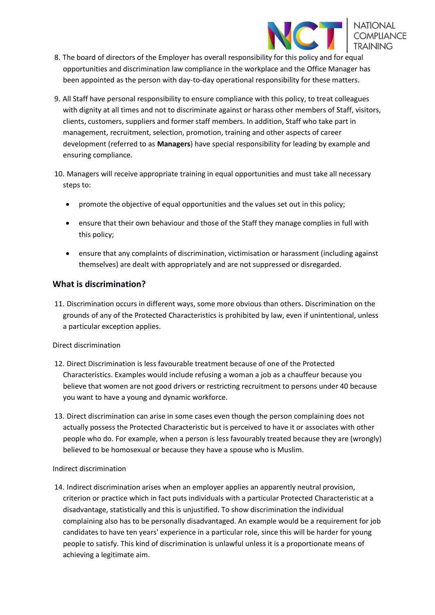

- 8. The board of directors of the Employer has overall responsibility for this policy and for equal opportunities and discrimination law compliance in the workplace and the Office Manager has been appointed as the person with day-to-day operational responsibility for these matters.
- 9. All Staff have personal responsibility to ensure compliance with this policy, to treat colleagues with dignity at all times and not to discriminate against or harass other members of Staff, visitors, clients, customers, suppliers and former staff members. In addition, Staff who take part in management, recruitment, selection, promotion, training and other aspects of career development (referred to as **Managers**) have special responsibility for leading by example and ensuring compliance.
- 10. Managers will receive appropriate training in equal opportunities and must take all necessary steps to:
	- promote the objective of equal opportunities and the values set out in this policy;
	- ensure that their own behaviour and those of the Staff they manage complies in full with this policy;
	- ensure that any complaints of discrimination, victimisation or harassment (including against themselves) are dealt with appropriately and are not suppressed or disregarded.

## **What is discrimination?**

11. Discrimination occurs in different ways, some more obvious than others. Discrimination on the grounds of any of the Protected Characteristics is prohibited by law, even if unintentional, unless a particular exception applies.

#### Direct discrimination

- 12. Direct Discrimination is less favourable treatment because of one of the Protected Characteristics. Examples would include refusing a woman a job as a chauffeur because you believe that women are not good drivers or restricting recruitment to persons under 40 because you want to have a young and dynamic workforce.
- 13. Direct discrimination can arise in some cases even though the person complaining does not actually possess the Protected Characteristic but is perceived to have it or associates with other people who do. For example, when a person is less favourably treated because they are (wrongly) believed to be homosexual or because they have a spouse who is Muslim.

#### Indirect discrimination

14. Indirect discrimination arises when an employer applies an apparently neutral provision, criterion or practice which in fact puts individuals with a particular Protected Characteristic at a disadvantage, statistically and this is unjustified. To show discrimination the individual complaining also has to be personally disadvantaged. An example would be a requirement for job candidates to have ten years' experience in a particular role, since this will be harder for young people to satisfy. This kind of discrimination is unlawful unless it is a proportionate means of achieving a legitimate aim.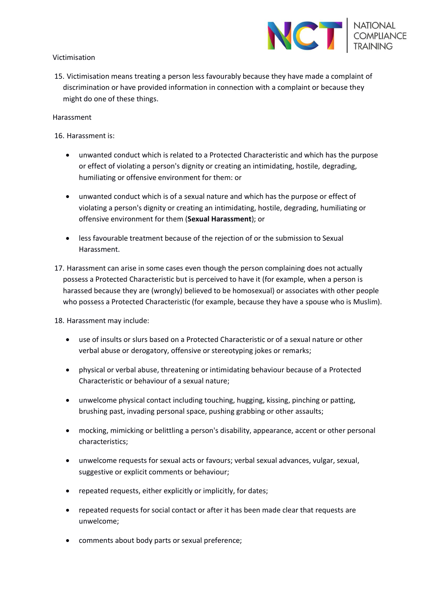

#### Victimisation

15. Victimisation means treating a person less favourably because they have made a complaint of discrimination or have provided information in connection with a complaint or because they might do one of these things.

#### Harassment

16. Harassment is:

- unwanted conduct which is related to a Protected Characteristic and which has the purpose or effect of violating a person's dignity or creating an intimidating, hostile, degrading, humiliating or offensive environment for them: or
- unwanted conduct which is of a sexual nature and which has the purpose or effect of violating a person's dignity or creating an intimidating, hostile, degrading, humiliating or offensive environment for them (**Sexual Harassment**); or
- less favourable treatment because of the rejection of or the submission to Sexual Harassment.
- 17. Harassment can arise in some cases even though the person complaining does not actually possess a Protected Characteristic but is perceived to have it (for example, when a person is harassed because they are (wrongly) believed to be homosexual) or associates with other people who possess a Protected Characteristic (for example, because they have a spouse who is Muslim).

18. Harassment may include:

- use of insults or slurs based on a Protected Characteristic or of a sexual nature or other verbal abuse or derogatory, offensive or stereotyping jokes or remarks;
- physical or verbal abuse, threatening or intimidating behaviour because of a Protected Characteristic or behaviour of a sexual nature;
- unwelcome physical contact including touching, hugging, kissing, pinching or patting, brushing past, invading personal space, pushing grabbing or other assaults;
- mocking, mimicking or belittling a person's disability, appearance, accent or other personal characteristics;
- unwelcome requests for sexual acts or favours; verbal sexual advances, vulgar, sexual, suggestive or explicit comments or behaviour;
- repeated requests, either explicitly or implicitly, for dates;
- repeated requests for social contact or after it has been made clear that requests are unwelcome;
- comments about body parts or sexual preference;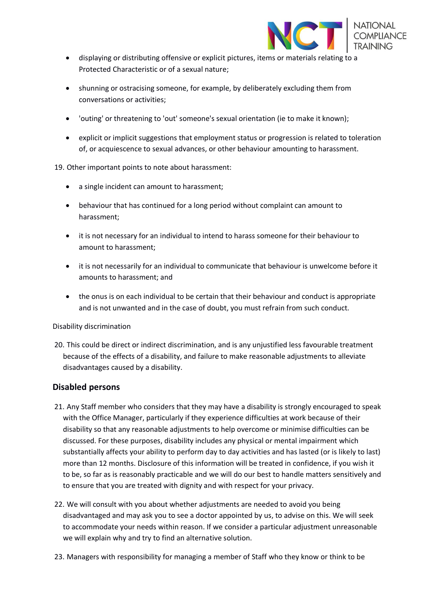

- displaying or distributing offensive or explicit pictures, items or materials relating to a Protected Characteristic or of a sexual nature;
- shunning or ostracising someone, for example, by deliberately excluding them from conversations or activities;
- 'outing' or threatening to 'out' someone's sexual orientation (ie to make it known);
- explicit or implicit suggestions that employment status or progression is related to toleration of, or acquiescence to sexual advances, or other behaviour amounting to harassment.

19. Other important points to note about harassment:

- a single incident can amount to harassment;
- behaviour that has continued for a long period without complaint can amount to harassment;
- it is not necessary for an individual to intend to harass someone for their behaviour to amount to harassment;
- it is not necessarily for an individual to communicate that behaviour is unwelcome before it amounts to harassment; and
- the onus is on each individual to be certain that their behaviour and conduct is appropriate and is not unwanted and in the case of doubt, you must refrain from such conduct.

#### Disability discrimination

20. This could be direct or indirect discrimination, and is any unjustified less favourable treatment because of the effects of a disability, and failure to make reasonable adjustments to alleviate disadvantages caused by a disability.

### **Disabled persons**

- 21. Any Staff member who considers that they may have a disability is strongly encouraged to speak with the Office Manager, particularly if they experience difficulties at work because of their disability so that any reasonable adjustments to help overcome or minimise difficulties can be discussed. For these purposes, disability includes any physical or mental impairment which substantially affects your ability to perform day to day activities and has lasted (or is likely to last) more than 12 months. Disclosure of this information will be treated in confidence, if you wish it to be, so far as is reasonably practicable and we will do our best to handle matters sensitively and to ensure that you are treated with dignity and with respect for your privacy.
- 22. We will consult with you about whether adjustments are needed to avoid you being disadvantaged and may ask you to see a doctor appointed by us, to advise on this. We will seek to accommodate your needs within reason. If we consider a particular adjustment unreasonable we will explain why and try to find an alternative solution.
- 23. Managers with responsibility for managing a member of Staff who they know or think to be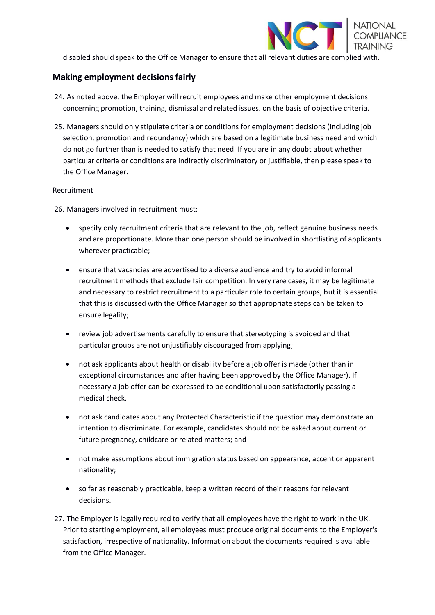

disabled should speak to the Office Manager to ensure that all relevant duties are complied with.

## **Making employment decisions fairly**

- 24. As noted above, the Employer will recruit employees and make other employment decisions concerning promotion, training, dismissal and related issues. on the basis of objective criteria.
- 25. Managers should only stipulate criteria or conditions for employment decisions (including job selection, promotion and redundancy) which are based on a legitimate business need and which do not go further than is needed to satisfy that need. If you are in any doubt about whether particular criteria or conditions are indirectly discriminatory or justifiable, then please speak to the Office Manager.

#### Recruitment

26. Managers involved in recruitment must:

- specify only recruitment criteria that are relevant to the job, reflect genuine business needs and are proportionate. More than one person should be involved in shortlisting of applicants wherever practicable;
- ensure that vacancies are advertised to a diverse audience and try to avoid informal recruitment methods that exclude fair competition. In very rare cases, it may be legitimate and necessary to restrict recruitment to a particular role to certain groups, but it is essential that this is discussed with the Office Manager so that appropriate steps can be taken to ensure legality;
- review job advertisements carefully to ensure that stereotyping is avoided and that particular groups are not unjustifiably discouraged from applying;
- not ask applicants about health or disability before a job offer is made (other than in exceptional circumstances and after having been approved by the Office Manager). If necessary a job offer can be expressed to be conditional upon satisfactorily passing a medical check.
- not ask candidates about any Protected Characteristic if the question may demonstrate an intention to discriminate. For example, candidates should not be asked about current or future pregnancy, childcare or related matters; and
- not make assumptions about immigration status based on appearance, accent or apparent nationality;
- so far as reasonably practicable, keep a written record of their reasons for relevant decisions.
- 27. The Employer is legally required to verify that all employees have the right to work in the UK. Prior to starting employment, all employees must produce original documents to the Employer's satisfaction, irrespective of nationality. Information about the documents required is available from the Office Manager.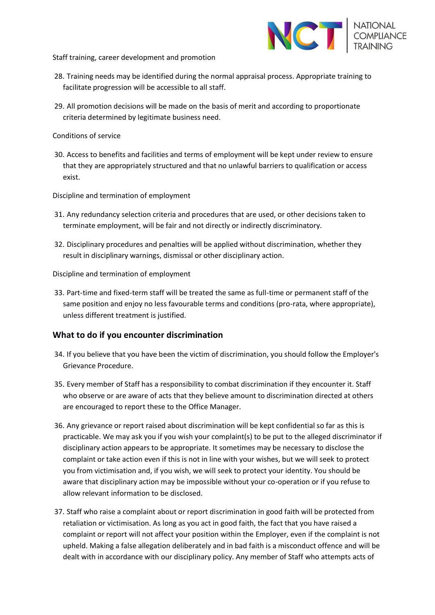

Staff training, career development and promotion

- 28. Training needs may be identified during the normal appraisal process. Appropriate training to facilitate progression will be accessible to all staff.
- 29. All promotion decisions will be made on the basis of merit and according to proportionate criteria determined by legitimate business need.
- Conditions of service
- 30. Access to benefits and facilities and terms of employment will be kept under review to ensure that they are appropriately structured and that no unlawful barriers to qualification or access exist.

Discipline and termination of employment

- 31. Any redundancy selection criteria and procedures that are used, or other decisions taken to terminate employment, will be fair and not directly or indirectly discriminatory.
- 32. Disciplinary procedures and penalties will be applied without discrimination, whether they result in disciplinary warnings, dismissal or other disciplinary action.

Discipline and termination of employment

33. Part-time and fixed-term staff will be treated the same as full-time or permanent staff of the same position and enjoy no less favourable terms and conditions (pro-rata, where appropriate), unless different treatment is justified.

#### **What to do if you encounter discrimination**

- 34. If you believe that you have been the victim of discrimination, you should follow the Employer's Grievance Procedure.
- 35. Every member of Staff has a responsibility to combat discrimination if they encounter it. Staff who observe or are aware of acts that they believe amount to discrimination directed at others are encouraged to report these to the Office Manager.
- 36. Any grievance or report raised about discrimination will be kept confidential so far as this is practicable. We may ask you if you wish your complaint(s) to be put to the alleged discriminator if disciplinary action appears to be appropriate. It sometimes may be necessary to disclose the complaint or take action even if this is not in line with your wishes, but we will seek to protect you from victimisation and, if you wish, we will seek to protect your identity. You should be aware that disciplinary action may be impossible without your co-operation or if you refuse to allow relevant information to be disclosed.
- 37. Staff who raise a complaint about or report discrimination in good faith will be protected from retaliation or victimisation. As long as you act in good faith, the fact that you have raised a complaint or report will not affect your position within the Employer, even if the complaint is not upheld. Making a false allegation deliberately and in bad faith is a misconduct offence and will be dealt with in accordance with our disciplinary policy. Any member of Staff who attempts acts of